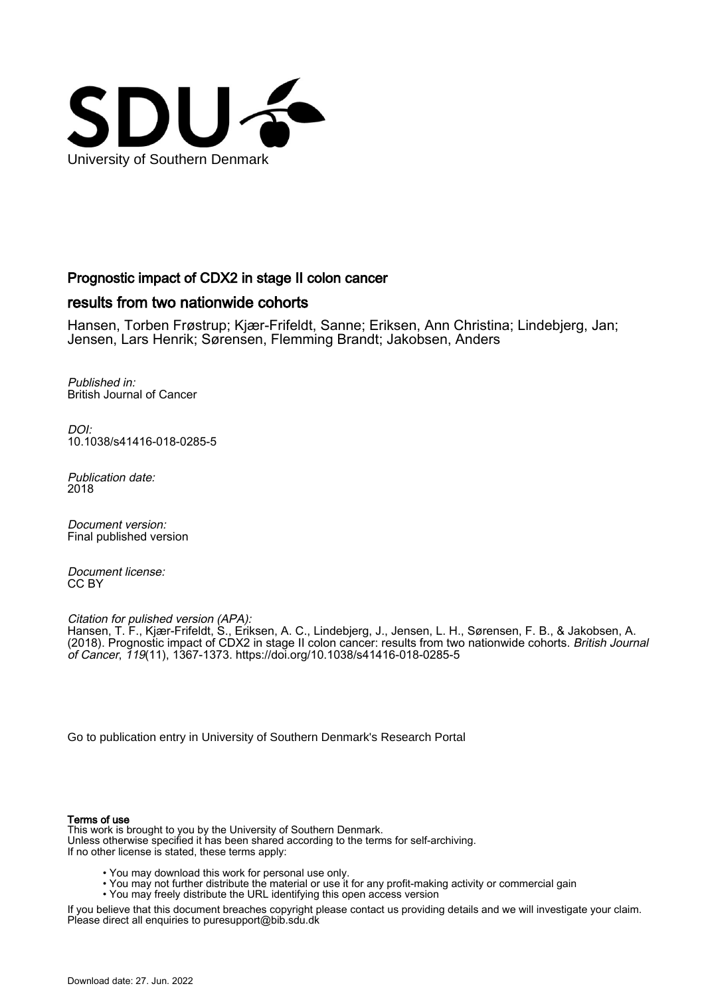

## Prognostic impact of CDX2 in stage II colon cancer

# results from two nationwide cohorts

Hansen, Torben Frøstrup; Kjær-Frifeldt, Sanne; Eriksen, Ann Christina; Lindebjerg, Jan; Jensen, Lars Henrik; Sørensen, Flemming Brandt; Jakobsen, Anders

Published in: British Journal of Cancer

DOI: [10.1038/s41416-018-0285-5](https://doi.org/10.1038/s41416-018-0285-5)

Publication date: 2018

Document version: Final published version

Document license: CC BY

Citation for pulished version (APA):

Hansen, T. F., Kjær-Frifeldt, S., Eriksen, A. C., Lindebjerg, J., Jensen, L. H., Sørensen, F. B., & Jakobsen, A. (2018). Prognostic impact of CDX2 in stage II colon cancer: results from two nationwide cohorts. *British Journal* of Cancer, 119(11), 1367-1373.<https://doi.org/10.1038/s41416-018-0285-5>

[Go to publication entry in University of Southern Denmark's Research Portal](https://portal.findresearcher.sdu.dk/en/publications/b222cdde-4fbe-4a48-9da3-1e21b8b76b38)

## Terms of use

This work is brought to you by the University of Southern Denmark. Unless otherwise specified it has been shared according to the terms for self-archiving. If no other license is stated, these terms apply:

- You may download this work for personal use only.
- You may not further distribute the material or use it for any profit-making activity or commercial gain
- You may freely distribute the URL identifying this open access version

If you believe that this document breaches copyright please contact us providing details and we will investigate your claim. Please direct all enquiries to puresupport@bib.sdu.dk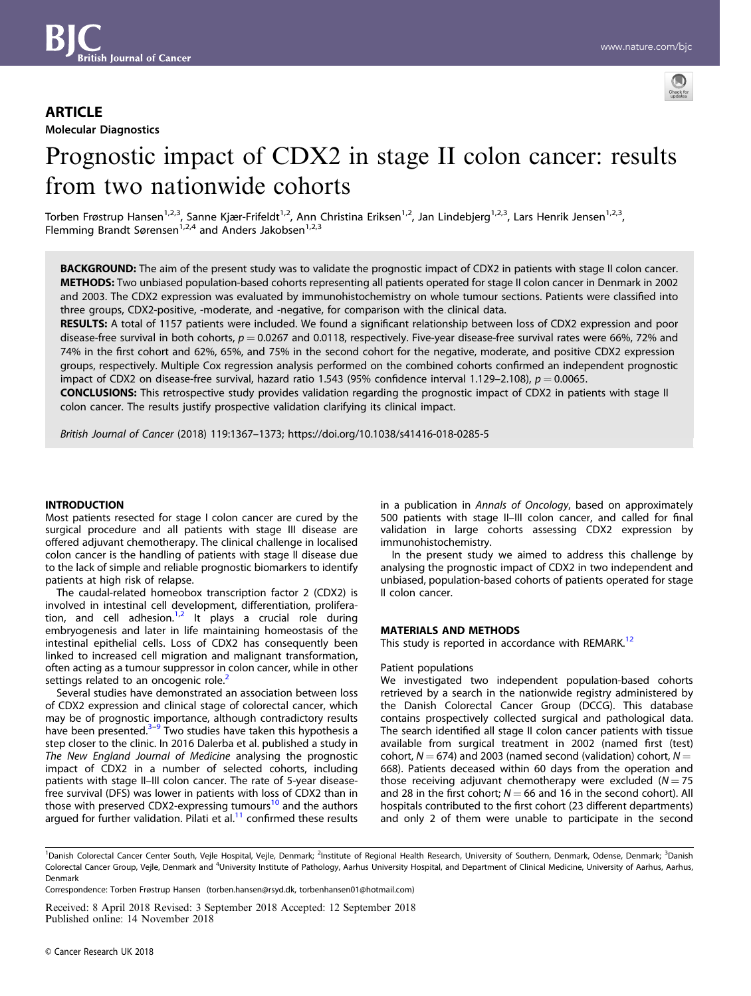

# molecular Diagnostics<br>T Prognostic impact of CDX2 in stage II colon cancer: results from two nationwide cohorts

Torben Frøstrup Hansen<sup>1,2,3</sup>, Sanne Kjær-Frifeldt<sup>1,2</sup>, Ann Christina Eriksen<sup>1,2</sup>, Jan Lindebjerg<sup>1,2,3</sup>, Lars Henrik Jensen<sup>1,2,3</sup>, Flemming Brandt Sørensen<sup>1,2,4</sup> and Anders Jakobsen<sup>1,2,3</sup>

BACKGROUND: The aim of the present study was to validate the prognostic impact of CDX2 in patients with stage II colon cancer. METHODS: Two unbiased population-based cohorts representing all patients operated for stage II colon cancer in Denmark in 2002 and 2003. The CDX2 expression was evaluated by immunohistochemistry on whole tumour sections. Patients were classified into three groups, CDX2-positive, -moderate, and -negative, for comparison with the clinical data.

RESULTS: A total of 1157 patients were included. We found a significant relationship between loss of CDX2 expression and poor disease-free survival in both cohorts,  $p = 0.0267$  and 0.0118, respectively. Five-year disease-free survival rates were 66%, 72% and 74% in the first cohort and 62%, 65%, and 75% in the second cohort for the negative, moderate, and positive CDX2 expression groups, respectively. Multiple Cox regression analysis performed on the combined cohorts confirmed an independent prognostic impact of CDX2 on disease-free survival, hazard ratio 1.543 (95% confidence interval 1.129–2.108),  $p = 0.0065$ .

CONCLUSIONS: This retrospective study provides validation regarding the prognostic impact of CDX2 in patients with stage II colon cancer. The results justify prospective validation clarifying its clinical impact.

British Journal of Cancer (2018) 119:1367–1373; https://doi.org/10.1038/s41416-018-0285-5

#### INTRODUCTION

Most patients resected for stage I colon cancer are cured by the surgical procedure and all patients with stage III disease are offered adjuvant chemotherapy. The clinical challenge in localised colon cancer is the handling of patients with stage II disease due to the lack of simple and reliable prognostic biomarkers to identify patients at high risk of relapse.

The caudal-related homeobox transcription factor 2 (CDX2) is involved in intestinal cell development, differentiation, proliferation, and cell adhesion. $1,2$  It plays a crucial role during embryogenesis and later in life maintaining homeostasis of the intestinal epithelial cells. Loss of CDX2 has consequently been linked to increased cell migration and malignant transformation, often acting as a tumour suppressor in colon cancer, while in other settings related to an oncogenic role.<sup>[2](#page-7-0)</sup>

Several studies have demonstrated an association between loss of CDX2 expression and clinical stage of colorectal cancer, which may be of prognostic importance, although contradictory results have been presented. $3-9$  $3-9$  $3-9$  Two studies have taken this hypothesis a step closer to the clinic. In 2016 Dalerba et al. published a study in The New England Journal of Medicine analysing the prognostic impact of CDX2 in a number of selected cohorts, including patients with stage II–III colon cancer. The rate of 5-year diseasefree survival (DFS) was lower in patients with loss of CDX2 than in those with preserved CDX2-expressing tumours<sup>[10](#page-7-0)</sup> and the authors argued for further validation. Pilati et  $al<sup>11</sup>$  confirmed these results in a publication in Annals of Oncology, based on approximately 500 patients with stage II–III colon cancer, and called for final validation in large cohorts assessing CDX2 expression by immunohistochemistry.

In the present study we aimed to address this challenge by analysing the prognostic impact of CDX2 in two independent and unbiased, population-based cohorts of patients operated for stage II colon cancer.

### MATERIALS AND METHODS

This study is reported in accordance with REMARK.<sup>[12](#page-7-0)</sup>

#### Patient populations

We investigated two independent population-based cohorts retrieved by a search in the nationwide registry administered by the Danish Colorectal Cancer Group (DCCG). This database contains prospectively collected surgical and pathological data. The search identified all stage II colon cancer patients with tissue available from surgical treatment in 2002 (named first (test) cohort,  $N = 674$ ) and 2003 (named second (validation) cohort,  $N =$ 668). Patients deceased within 60 days from the operation and those receiving adjuvant chemotherapy were excluded  $(N = 75)$ and 28 in the first cohort;  $N = 66$  and 16 in the second cohort). All hospitals contributed to the first cohort (23 different departments) and only 2 of them were unable to participate in the second

Correspondence: Torben Frøstrup Hansen (torben.hansen@rsyd.dk, torbenhansen01@hotmail.com)

Received: 8 April 2018 Revised: 3 September 2018 Accepted: 12 September 2018 Published online: 14 November 2018

<sup>&</sup>lt;sup>1</sup>Danish Colorectal Cancer Center South, Vejle Hospital, Vejle, Denmark; <sup>2</sup>Institute of Regional Health Research, University of Southern, Denmark, Odense, Denmark; <sup>3</sup>Danish Colorectal Cancer Group, Vejle, Denmark and <sup>4</sup>University Institute of Pathology, Aarhus University Hospital, and Department of Clinical Medicine, University of Aarhus, Aarhus, Denmark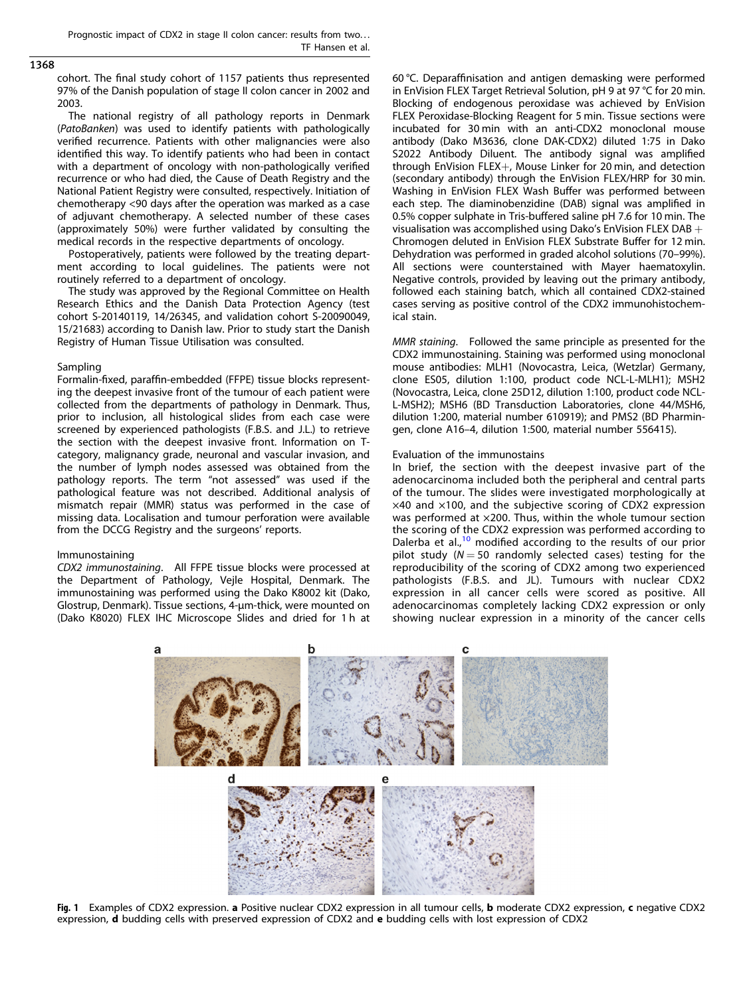#### <span id="page-2-0"></span>1368

cohort. The final study cohort of 1157 patients thus represented 97% of the Danish population of stage II colon cancer in 2002 and 2003.

The national registry of all pathology reports in Denmark (PatoBanken) was used to identify patients with pathologically verified recurrence. Patients with other malignancies were also identified this way. To identify patients who had been in contact with a department of oncology with non-pathologically verified recurrence or who had died, the Cause of Death Registry and the National Patient Registry were consulted, respectively. Initiation of chemotherapy <90 days after the operation was marked as a case of adjuvant chemotherapy. A selected number of these cases (approximately 50%) were further validated by consulting the medical records in the respective departments of oncology.

Postoperatively, patients were followed by the treating department according to local guidelines. The patients were not routinely referred to a department of oncology.

The study was approved by the Regional Committee on Health Research Ethics and the Danish Data Protection Agency (test cohort S-20140119, 14/26345, and validation cohort S-20090049, 15/21683) according to Danish law. Prior to study start the Danish Registry of Human Tissue Utilisation was consulted.

#### Sampling

Formalin-fixed, paraffin-embedded (FFPE) tissue blocks representing the deepest invasive front of the tumour of each patient were collected from the departments of pathology in Denmark. Thus, prior to inclusion, all histological slides from each case were screened by experienced pathologists (F.B.S. and J.L.) to retrieve the section with the deepest invasive front. Information on Tcategory, malignancy grade, neuronal and vascular invasion, and the number of lymph nodes assessed was obtained from the pathology reports. The term "not assessed" was used if the pathological feature was not described. Additional analysis of mismatch repair (MMR) status was performed in the case of missing data. Localisation and tumour perforation were available from the DCCG Registry and the surgeons' reports.

#### Immunostaining

CDX2 immunostaining. All FFPE tissue blocks were processed at the Department of Pathology, Vejle Hospital, Denmark. The immunostaining was performed using the Dako K8002 kit (Dako, Glostrup, Denmark). Tissue sections, 4-μm-thick, were mounted on (Dako K8020) FLEX IHC Microscope Slides and dried for 1 h at

60 °C. Deparaffinisation and antigen demasking were performed in EnVision FLEX Target Retrieval Solution, pH 9 at 97 °C for 20 min. Blocking of endogenous peroxidase was achieved by EnVision FLEX Peroxidase-Blocking Reagent for 5 min. Tissue sections were incubated for 30 min with an anti-CDX2 monoclonal mouse antibody (Dako M3636, clone DAK-CDX2) diluted 1:75 in Dako S2022 Antibody Diluent. The antibody signal was amplified through EnVision FLEX+, Mouse Linker for 20 min, and detection (secondary antibody) through the EnVision FLEX/HRP for 30 min. Washing in EnVision FLEX Wash Buffer was performed between each step. The diaminobenzidine (DAB) signal was amplified in 0.5% copper sulphate in Tris-buffered saline pH 7.6 for 10 min. The visualisation was accomplished using Dako's EnVision FLEX DAB  $+$ Chromogen deluted in EnVision FLEX Substrate Buffer for 12 min. Dehydration was performed in graded alcohol solutions (70–99%). All sections were counterstained with Mayer haematoxylin. Negative controls, provided by leaving out the primary antibody, followed each staining batch, which all contained CDX2-stained cases serving as positive control of the CDX2 immunohistochemical stain.

MMR staining. Followed the same principle as presented for the CDX2 immunostaining. Staining was performed using monoclonal mouse antibodies: MLH1 (Novocastra, Leica, (Wetzlar) Germany, clone ES05, dilution 1:100, product code NCL-L-MLH1); MSH2 (Novocastra, Leica, clone 25D12, dilution 1:100, product code NCL-L-MSH2); MSH6 (BD Transduction Laboratories, clone 44/MSH6, dilution 1:200, material number 610919); and PMS2 (BD Pharmingen, clone A16–4, dilution 1:500, material number 556415).

#### Evaluation of the immunostains

In brief, the section with the deepest invasive part of the adenocarcinoma included both the peripheral and central parts of the tumour. The slides were investigated morphologically at  $\times$ 40 and  $\times$ 100, and the subjective scoring of CDX2 expression was performed at ×200. Thus, within the whole tumour section the scoring of the CDX2 expression was performed according to Dalerba et al.,<sup>[10](#page-7-0)</sup> modified according to the results of our prior pilot study ( $N = 50$  randomly selected cases) testing for the reproducibility of the scoring of CDX2 among two experienced pathologists (F.B.S. and JL). Tumours with nuclear CDX2 expression in all cancer cells were scored as positive. All adenocarcinomas completely lacking CDX2 expression or only showing nuclear expression in a minority of the cancer cells



Fig. 1 Examples of CDX2 expression. a Positive nuclear CDX2 expression in all tumour cells, b moderate CDX2 expression, c negative CDX2 expression, **d** budding cells with preserved expression of CDX2 and **e** budding cells with lost expression of CDX2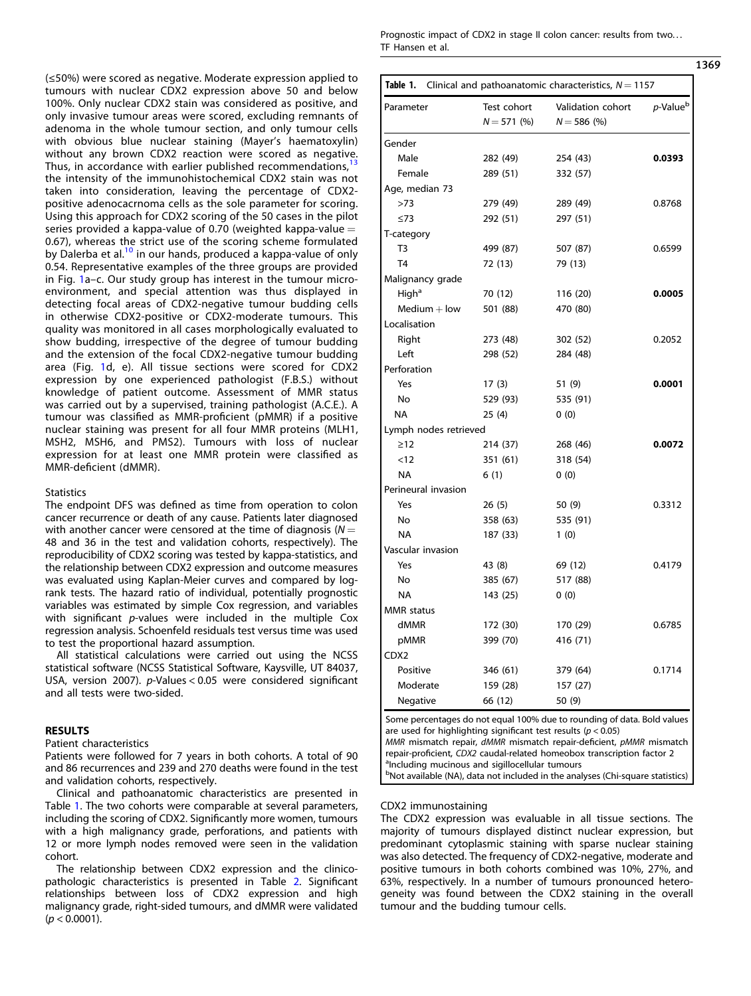<span id="page-3-0"></span>(≤50%) were scored as negative. Moderate expression applied to tumours with nuclear CDX2 expression above 50 and below 100%. Only nuclear CDX2 stain was considered as positive, and only invasive tumour areas were scored, excluding remnants of adenoma in the whole tumour section, and only tumour cells with obvious blue nuclear staining (Mayer's haematoxylin) without any brown CDX2 reaction were scored as negative. Thus, in accordance with earlier published recommendations,<sup>1</sup> the intensity of the immunohistochemical CDX2 stain was not taken into consideration, leaving the percentage of CDX2 positive adenocacrnoma cells as the sole parameter for scoring. Using this approach for CDX2 scoring of the 50 cases in the pilot series provided a kappa-value of 0.70 (weighted kappa-value  $=$ 0.67), whereas the strict use of the scoring scheme formulated by Dalerba et al.<sup>[10](#page-7-0)</sup> in our hands, produced a kappa-value of only 0.54. Representative examples of the three groups are provided in Fig. [1](#page-2-0)a–c. Our study group has interest in the tumour microenvironment, and special attention was thus displayed in detecting focal areas of CDX2-negative tumour budding cells in otherwise CDX2-positive or CDX2-moderate tumours. This quality was monitored in all cases morphologically evaluated to show budding, irrespective of the degree of tumour budding and the extension of the focal CDX2-negative tumour budding area (Fig. [1](#page-2-0)d, e). All tissue sections were scored for CDX2 expression by one experienced pathologist (F.B.S.) without knowledge of patient outcome. Assessment of MMR status was carried out by a supervised, training pathologist (A.C.E.). A tumour was classified as MMR-proficient (pMMR) if a positive nuclear staining was present for all four MMR proteins (MLH1, MSH2, MSH6, and PMS2). Tumours with loss of nuclear expression for at least one MMR protein were classified as MMR-deficient (dMMR).

#### **Statistics**

The endpoint DFS was defined as time from operation to colon cancer recurrence or death of any cause. Patients later diagnosed with another cancer were censored at the time of diagnosis ( $N =$ 48 and 36 in the test and validation cohorts, respectively). The reproducibility of CDX2 scoring was tested by kappa-statistics, and the relationship between CDX2 expression and outcome measures was evaluated using Kaplan-Meier curves and compared by logrank tests. The hazard ratio of individual, potentially prognostic variables was estimated by simple Cox regression, and variables with significant p-values were included in the multiple Cox regression analysis. Schoenfeld residuals test versus time was used to test the proportional hazard assumption.

All statistical calculations were carried out using the NCSS statistical software (NCSS Statistical Software, Kaysville, UT 84037, USA, version 2007). p-Values < 0.05 were considered significant and all tests were two-sided.

#### RESULTS

Patient characteristics

Patients were followed for 7 years in both cohorts. A total of 90 and 86 recurrences and 239 and 270 deaths were found in the test and validation cohorts, respectively.

Clinical and pathoanatomic characteristics are presented in Table 1. The two cohorts were comparable at several parameters, including the scoring of CDX2. Significantly more women, tumours with a high malignancy grade, perforations, and patients with 12 or more lymph nodes removed were seen in the validation cohort.

The relationship between CDX2 expression and the clinicopathologic characteristics is presented in Table [2](#page-4-0). Significant relationships between loss of CDX2 expression and high malignancy grade, right-sided tumours, and dMMR were validated  $(p < 0.0001)$ .

Prognostic impact of CDX2 in stage II colon cancer: results from two... TF Hansen et al.

| Clinical and pathoanatomic characteristics, $N = 1157$<br>Table 1. |              |                   |                      |  |  |  |
|--------------------------------------------------------------------|--------------|-------------------|----------------------|--|--|--|
| Parameter                                                          | Test cohort  | Validation cohort | p-Value <sup>b</sup> |  |  |  |
|                                                                    | $N = 571(%)$ | $N = 586$ (%)     |                      |  |  |  |
| Gender                                                             |              |                   |                      |  |  |  |
| Male                                                               | 282 (49)     | 254 (43)          | 0.0393               |  |  |  |
| Female                                                             | 289 (51)     | 332 (57)          |                      |  |  |  |
| Age, median 73                                                     |              |                   |                      |  |  |  |
| >73                                                                | 279 (49)     | 289 (49)          | 0.8768               |  |  |  |
| $\leq 73$                                                          | 292 (51)     | 297 (51)          |                      |  |  |  |
| T-category                                                         |              |                   |                      |  |  |  |
| T3                                                                 | 499 (87)     | 507 (87)          | 0.6599               |  |  |  |
| T <sub>4</sub>                                                     | 72 (13)      | 79 (13)           |                      |  |  |  |
| Malignancy grade                                                   |              |                   |                      |  |  |  |
| High <sup>a</sup>                                                  | 70 (12)      | 116 (20)          | 0.0005               |  |  |  |
| $Median + low$                                                     | 501 (88)     | 470 (80)          |                      |  |  |  |
| Localisation                                                       |              |                   |                      |  |  |  |
| Right                                                              | 273 (48)     | 302 (52)          | 0.2052               |  |  |  |
| Left                                                               | 298 (52)     | 284 (48)          |                      |  |  |  |
| Perforation                                                        |              |                   |                      |  |  |  |
| Yes                                                                | 17(3)        | 51 (9)            | 0.0001               |  |  |  |
| No                                                                 | 529 (93)     | 535 (91)          |                      |  |  |  |
| <b>NA</b>                                                          | 25(4)        | 0(0)              |                      |  |  |  |
| Lymph nodes retrieved                                              |              |                   |                      |  |  |  |
| $\geq$ 12                                                          | 214 (37)     | 268 (46)          | 0.0072               |  |  |  |
| < 12                                                               | 351 (61)     | 318 (54)          |                      |  |  |  |
| NA                                                                 | 6(1)         | 0(0)              |                      |  |  |  |
| Perineural invasion                                                |              |                   |                      |  |  |  |
| Yes                                                                | 26 (5)       | 50 (9)            | 0.3312               |  |  |  |
| No                                                                 | 358 (63)     | 535 (91)          |                      |  |  |  |
| NA                                                                 | 187 (33)     | 1(0)              |                      |  |  |  |
| Vascular invasion                                                  |              |                   |                      |  |  |  |
| Yes                                                                | 43 (8)       | 69 (12)           | 0.4179               |  |  |  |
| No                                                                 | 385 (67)     | 517 (88)          |                      |  |  |  |
| NA                                                                 | 143 (25)     | 0(0)              |                      |  |  |  |
| <b>MMR</b> status                                                  |              |                   |                      |  |  |  |
| dMMR                                                               | 172 (30)     | 170 (29)          | 0.6785               |  |  |  |
| pMMR                                                               | 399 (70)     | 416 (71)          |                      |  |  |  |
| CDX2                                                               |              |                   |                      |  |  |  |
| Positive                                                           | 346 (61)     | 379 (64)          | 0.1714               |  |  |  |
| Moderate                                                           | 159 (28)     | 157 (27)          |                      |  |  |  |
| Negative                                                           | 66 (12)      | 50 (9)            |                      |  |  |  |

MMR mismatch repair, dMMR mismatch repair-deficient, pMMR mismatch repair-proficient, CDX2 caudal-related homeobox transcription factor 2 <sup>a</sup>Including mucinous and sigillocellular tumours

bNot available (NA), data not included in the analyses (Chi-square statistics)

#### CDX2 immunostaining

The CDX2 expression was evaluable in all tissue sections. The majority of tumours displayed distinct nuclear expression, but predominant cytoplasmic staining with sparse nuclear staining was also detected. The frequency of CDX2-negative, moderate and positive tumours in both cohorts combined was 10%, 27%, and 63%, respectively. In a number of tumours pronounced heterogeneity was found between the CDX2 staining in the overall tumour and the budding tumour cells.

1369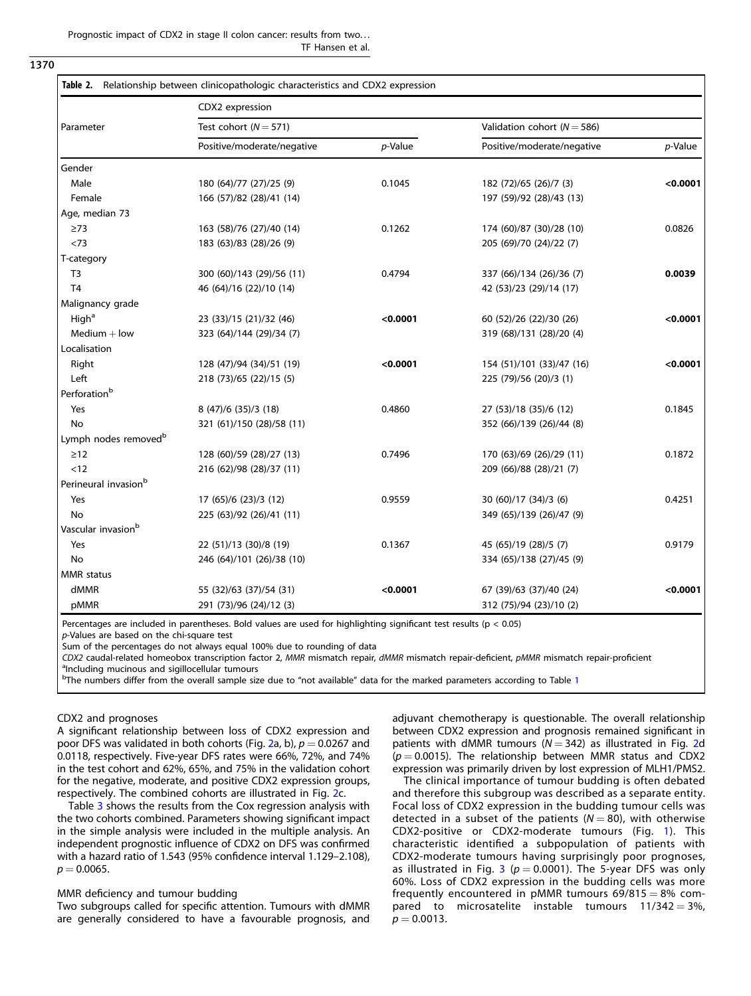Prognostic impact of CDX2 in stage II colon cancer: results from two... TF Hansen et al.

#### <span id="page-4-0"></span>1370

| Parameter                        | CDX2 expression            |            |                                 |            |  |  |
|----------------------------------|----------------------------|------------|---------------------------------|------------|--|--|
|                                  | Test cohort ( $N = 571$ )  |            | Validation cohort ( $N = 586$ ) |            |  |  |
|                                  | Positive/moderate/negative | $p$ -Value | Positive/moderate/negative      | $p$ -Value |  |  |
| Gender                           |                            |            |                                 |            |  |  |
| Male                             | 180 (64)/77 (27)/25 (9)    | 0.1045     | 182 (72)/65 (26)/7 (3)          | < 0.0001   |  |  |
| Female                           | 166 (57)/82 (28)/41 (14)   |            | 197 (59)/92 (28)/43 (13)        |            |  |  |
| Age, median 73                   |                            |            |                                 |            |  |  |
| $\geq$ 73                        | 163 (58)/76 (27)/40 (14)   | 0.1262     | 174 (60)/87 (30)/28 (10)        | 0.0826     |  |  |
| < 73                             | 183 (63)/83 (28)/26 (9)    |            | 205 (69)/70 (24)/22 (7)         |            |  |  |
| T-category                       |                            |            |                                 |            |  |  |
| T <sub>3</sub>                   | 300 (60)/143 (29)/56 (11)  | 0.4794     | 337 (66)/134 (26)/36 (7)        | 0.0039     |  |  |
| T <sub>4</sub>                   | 46 (64)/16 (22)/10 (14)    |            | 42 (53)/23 (29)/14 (17)         |            |  |  |
| Malignancy grade                 |                            |            |                                 |            |  |  |
| High <sup>a</sup>                | 23 (33)/15 (21)/32 (46)    | < 0.0001   | 60 (52)/26 (22)/30 (26)         | < 0.0001   |  |  |
| $Median + low$                   | 323 (64)/144 (29)/34 (7)   |            | 319 (68)/131 (28)/20 (4)        |            |  |  |
| Localisation                     |                            |            |                                 |            |  |  |
| Right                            | 128 (47)/94 (34)/51 (19)   | < 0.0001   | 154 (51)/101 (33)/47 (16)       | < 0.0001   |  |  |
| Left                             | 218 (73)/65 (22)/15 (5)    |            | 225 (79)/56 (20)/3 (1)          |            |  |  |
| Perforation <sup>b</sup>         |                            |            |                                 |            |  |  |
| Yes                              | 8 (47)/6 (35)/3 (18)       | 0.4860     | 27 (53)/18 (35)/6 (12)          | 0.1845     |  |  |
| <b>No</b>                        | 321 (61)/150 (28)/58 (11)  |            | 352 (66)/139 (26)/44 (8)        |            |  |  |
| Lymph nodes removed <sup>b</sup> |                            |            |                                 |            |  |  |
| $\geq$ 12                        | 128 (60)/59 (28)/27 (13)   | 0.7496     | 170 (63)/69 (26)/29 (11)        | 0.1872     |  |  |
| < 12                             | 216 (62)/98 (28)/37 (11)   |            | 209 (66)/88 (28)/21 (7)         |            |  |  |
| Perineural invasion <sup>b</sup> |                            |            |                                 |            |  |  |
| Yes                              | 17 (65)/6 (23)/3 (12)      | 0.9559     | 30 (60)/17 (34)/3 (6)           | 0.4251     |  |  |
| No                               | 225 (63)/92 (26)/41 (11)   |            | 349 (65)/139 (26)/47 (9)        |            |  |  |
| Vascular invasion <sup>b</sup>   |                            |            |                                 |            |  |  |
| Yes                              | 22 (51)/13 (30)/8 (19)     | 0.1367     | 45 (65)/19 (28)/5 (7)           | 0.9179     |  |  |
| No                               | 246 (64)/101 (26)/38 (10)  |            | 334 (65)/138 (27)/45 (9)        |            |  |  |
| <b>MMR</b> status                |                            |            |                                 |            |  |  |
| dMMR                             | 55 (32)/63 (37)/54 (31)    | < 0.0001   | 67 (39)/63 (37)/40 (24)         | < 0.0001   |  |  |
| pMMR                             | 291 (73)/96 (24)/12 (3)    |            | 312 (75)/94 (23)/10 (2)         |            |  |  |

Percentages are included in parentheses. Bold values are used for highlighting significant test results ( $p < 0.05$ )

p-Values are based on the chi-square test

Sum of the percentages do not always equal 100% due to rounding of data

CDX2 caudal-related homeobox transcription factor 2, MMR mismatch repair, dMMR mismatch repair-deficient, pMMR mismatch repair-proficient

<sup>a</sup>Including mucinous and sigillocellular tumours

<sup>b</sup>The numbers differ from the overall sample size due to "not available" data for the marked parameters according to Table [1](#page-3-0)

#### CDX2 and prognoses

A significant relationship between loss of CDX2 expression and poor DFS was validated in both cohorts (Fig. [2](#page-5-0)a, b),  $p = 0.0267$  and 0.0118, respectively. Five-year DFS rates were 66%, 72%, and 74% in the test cohort and 62%, 65%, and 75% in the validation cohort for the negative, moderate, and positive CDX2 expression groups, respectively. The combined cohorts are illustrated in Fig. [2c](#page-5-0).

Table [3](#page-6-0) shows the results from the Cox regression analysis with the two cohorts combined. Parameters showing significant impact in the simple analysis were included in the multiple analysis. An independent prognostic influence of CDX2 on DFS was confirmed with a hazard ratio of 1.543 (95% confidence interval 1.129–2.108),  $p = 0.0065$ .

#### MMR deficiency and tumour budding

Two subgroups called for specific attention. Tumours with dMMR are generally considered to have a favourable prognosis, and adjuvant chemotherapy is questionable. The overall relationship between CDX2 expression and prognosis remained significant in patients with dMMR tumours ( $N = 342$  $N = 342$ ) as illustrated in Fig. 2d  $(p = 0.0015)$ . The relationship between MMR status and CDX2 expression was primarily driven by lost expression of MLH1/PMS2.

The clinical importance of tumour budding is often debated and therefore this subgroup was described as a separate entity. Focal loss of CDX2 expression in the budding tumour cells was detected in a subset of the patients ( $N = 80$ ), with otherwise CDX2-positive or CDX2-moderate tumours (Fig. [1](#page-2-0)). This characteristic identified a subpopulation of patients with CDX2-moderate tumours having surprisingly poor prognoses, as illustrated in Fig. [3](#page-6-0) ( $p = 0.0001$ ). The 5-year DFS was only 60%. Loss of CDX2 expression in the budding cells was more frequently encountered in pMMR tumours  $69/815 = 8\%$  compared to microsatelite instable tumours  $11/342 = 3\%$ ,  $p = 0.0013$ .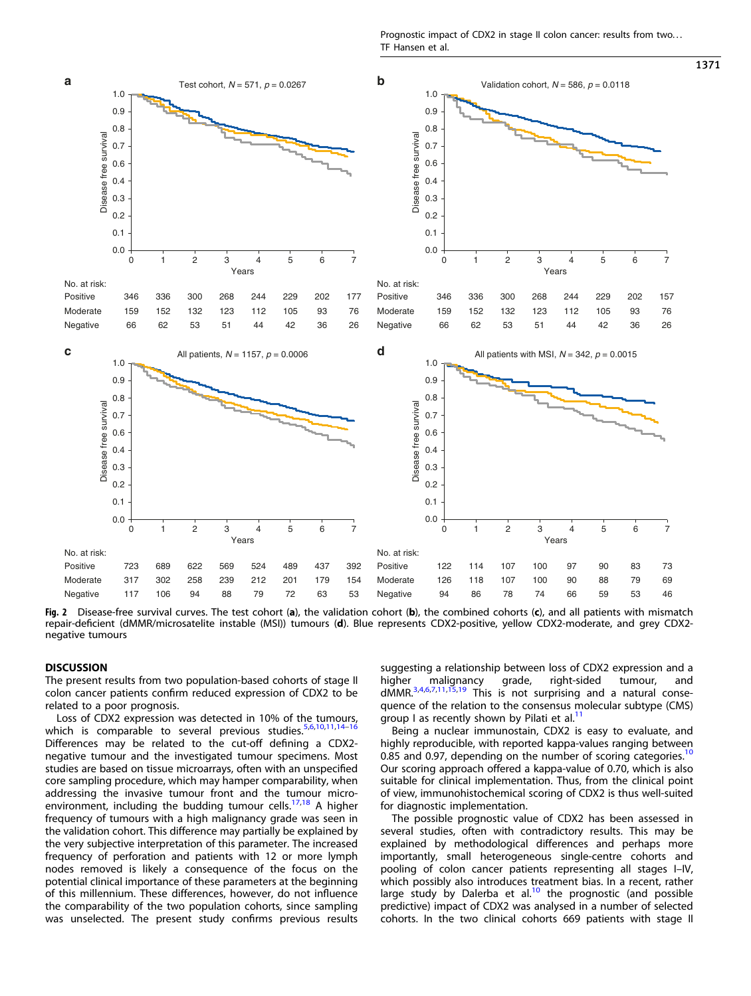Prognostic impact of CDX2 in stage II colon cancer: results from two... TF Hansen et al.

<span id="page-5-0"></span>

Fig. 2 Disease-free survival curves. The test cohort (a), the validation cohort (b), the combined cohorts (c), and all patients with mismatch repair-deficient (dMMR/microsatelite instable (MSI)) tumours (d). Blue represents CDX2-positive, yellow CDX2-moderate, and grey CDX2 negative tumours

#### **DISCUSSION**

The present results from two population-based cohorts of stage II colon cancer patients confirm reduced expression of CDX2 to be related to a poor prognosis.

Loss of CDX2 expression was detected in 10% of the tumours, which is comparable to several previous studies. $5,6,10,11,14-16$  $5,6,10,11,14-16$  $5,6,10,11,14-16$  $5,6,10,11,14-16$  $5,6,10,11,14-16$  $5,6,10,11,14-16$  $5,6,10,11,14-16$  $5,6,10,11,14-16$  $5,6,10,11,14-16$ Differences may be related to the cut-off defining a CDX2 negative tumour and the investigated tumour specimens. Most studies are based on tissue microarrays, often with an unspecified core sampling procedure, which may hamper comparability, when addressing the invasive tumour front and the tumour microenvironment, including the budding tumour cells. $17,18$  A higher frequency of tumours with a high malignancy grade was seen in the validation cohort. This difference may partially be explained by the very subjective interpretation of this parameter. The increased frequency of perforation and patients with 12 or more lymph nodes removed is likely a consequence of the focus on the potential clinical importance of these parameters at the beginning of this millennium. These differences, however, do not influence the comparability of the two population cohorts, since sampling was unselected. The present study confirms previous results suggesting a relationship between loss of CDX2 expression and a higher malignancy grade, right-sided tumour, and<br>dMMR.<sup>[3](#page-7-0),[4,6,7,11,15,19](#page-7-0)</sup> This is not-surprising-and-a-natural-consequence of the relation to the consensus molecular subtype (CMS) group I as recently shown by Pilati et al.<sup>[11](#page-7-0)</sup>

Being a nuclear immunostain, CDX2 is easy to evaluate, and highly reproducible, with reported kappa-values ranging between 0.85 and 0.97, depending on the number of scoring categories.<sup>[10](#page-7-0)</sup> Our scoring approach offered a kappa-value of 0.70, which is also suitable for clinical implementation. Thus, from the clinical point of view, immunohistochemical scoring of CDX2 is thus well-suited for diagnostic implementation.

The possible prognostic value of CDX2 has been assessed in several studies, often with contradictory results. This may be explained by methodological differences and perhaps more importantly, small heterogeneous single-centre cohorts and pooling of colon cancer patients representing all stages I–IV, which possibly also introduces treatment bias. In a recent, rather large study by Dalerba et al.<sup>[10](#page-7-0)</sup> the prognostic (and possible predictive) impact of CDX2 was analysed in a number of selected cohorts. In the two clinical cohorts 669 patients with stage II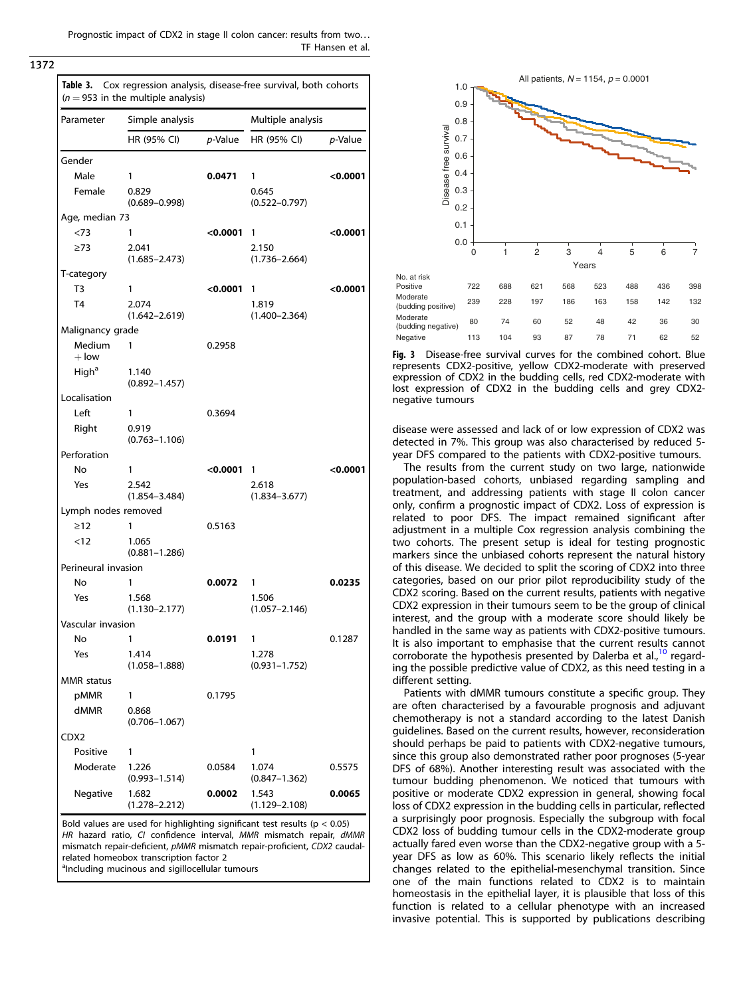Prognostic impact of CDX2 in stage II colon cancer: results from two... TF Hansen et al.

<span id="page-6-0"></span>1372

| Parameter                    | Simple analysis            |            | Multiple analysis          |          |
|------------------------------|----------------------------|------------|----------------------------|----------|
|                              | HR (95% CI)                | p-Value    | HR (95% CI)                | p-Value  |
| Gender                       |                            |            |                            |          |
| Male                         | 1                          | 0.0471     | 1                          | <0.0001  |
| Female                       | 0.829                      |            | 0.645                      |          |
|                              | $(0.689 - 0.998)$          |            | $(0.522 - 0.797)$          |          |
| Age, median 73               |                            |            |                            |          |
| < 73<br>$\geq$ 73            | 1<br>2.041                 | < 0.0001   | 1<br>2.150                 | < 0.0001 |
|                              | $(1.685 - 2.473)$          |            | $(1.736 - 2.664)$          |          |
| T-category                   |                            |            |                            |          |
| T <sub>3</sub>               | 1                          | <0.0001    | 1                          | < 0.0001 |
| T <sub>4</sub>               | 2.074                      |            | 1.819                      |          |
|                              | $(1.642 - 2.619)$          |            | $(1.400 - 2.364)$          |          |
| Malignancy grade             |                            |            |                            |          |
| Medium                       | 1                          | 0.2958     |                            |          |
| $+$ low<br>High <sup>a</sup> | 1.140                      |            |                            |          |
|                              | $(0.892 - 1.457)$          |            |                            |          |
| Localisation                 |                            |            |                            |          |
| Left                         | 1                          | 0.3694     |                            |          |
| Right                        | 0.919                      |            |                            |          |
|                              | $(0.763 - 1.106)$          |            |                            |          |
| Perforation                  |                            |            |                            |          |
| No                           | 1                          | $<$ 0.0001 | $\overline{1}$             | < 0.0001 |
| Yes                          | 2.542<br>$(1.854 - 3.484)$ |            | 2.618<br>$(1.834 - 3.677)$ |          |
| Lymph nodes removed          |                            |            |                            |          |
| $\geq$ 12                    | 1                          | 0.5163     |                            |          |
| < 12                         | 1.065<br>$(0.881 - 1.286)$ |            |                            |          |
| Perineural invasion          |                            |            |                            |          |
| No                           | 1                          | 0.0072     | 1                          | 0.0235   |
| Yes                          | 1.568<br>$(1.130 - 2.177)$ |            | 1.506<br>$(1.057 - 2.146)$ |          |
| Vascular invasion            |                            |            |                            |          |
| No                           |                            | 0.0191     | 1                          | 0.1287   |
| Yes                          | 1.414<br>$(1.058 - 1.888)$ |            | 1.278<br>$(0.931 - 1.752)$ |          |
| <b>MMR</b> status            |                            |            |                            |          |
| pMMR                         | 1                          | 0.1795     |                            |          |
| dMMR                         | 0.868<br>$(0.706 - 1.067)$ |            |                            |          |
| CDX2                         |                            |            |                            |          |
| Positive                     | 1                          |            | 1                          |          |
| Moderate                     | 1.226<br>$(0.993 - 1.514)$ | 0.0584     | 1.074<br>$(0.847 - 1.362)$ | 0.5575   |
| Negative                     | 1.682<br>$(1.278 - 2.212)$ | 0.0002     | 1.543<br>$(1.129 - 2.108)$ | 0.0065   |

mismatch repair-deficient, pMMR mismatch repair-proficient, CDX2 caudalrelated homeobox transcription factor 2

alncluding mucinous and sigillocellular tumours



Fig. 3 Disease-free survival curves for the combined cohort. Blue represents CDX2-positive, yellow CDX2-moderate with preserved expression of CDX2 in the budding cells, red CDX2-moderate with lost expression of CDX2 in the budding cells and grey CDX2 negative tumours

disease were assessed and lack of or low expression of CDX2 was detected in 7%. This group was also characterised by reduced 5 year DFS compared to the patients with CDX2-positive tumours.

The results from the current study on two large, nationwide population-based cohorts, unbiased regarding sampling and treatment, and addressing patients with stage II colon cancer only, confirm a prognostic impact of CDX2. Loss of expression is related to poor DFS. The impact remained significant after adjustment in a multiple Cox regression analysis combining the two cohorts. The present setup is ideal for testing prognostic markers since the unbiased cohorts represent the natural history of this disease. We decided to split the scoring of CDX2 into three categories, based on our prior pilot reproducibility study of the CDX2 scoring. Based on the current results, patients with negative CDX2 expression in their tumours seem to be the group of clinical interest, and the group with a moderate score should likely be handled in the same way as patients with CDX2-positive tumours. It is also important to emphasise that the current results cannot corroborate the hypothesis presented by Dalerba et al., $10$  regarding the possible predictive value of CDX2, as this need testing in a different setting.

Patients with dMMR tumours constitute a specific group. They are often characterised by a favourable prognosis and adjuvant chemotherapy is not a standard according to the latest Danish guidelines. Based on the current results, however, reconsideration should perhaps be paid to patients with CDX2-negative tumours, since this group also demonstrated rather poor prognoses (5-year DFS of 68%). Another interesting result was associated with the tumour budding phenomenon. We noticed that tumours with positive or moderate CDX2 expression in general, showing focal loss of CDX2 expression in the budding cells in particular, reflected a surprisingly poor prognosis. Especially the subgroup with focal CDX2 loss of budding tumour cells in the CDX2-moderate group actually fared even worse than the CDX2-negative group with a 5 year DFS as low as 60%. This scenario likely reflects the initial changes related to the epithelial-mesenchymal transition. Since one of the main functions related to CDX2 is to maintain homeostasis in the epithelial layer, it is plausible that loss of this function is related to a cellular phenotype with an increased invasive potential. This is supported by publications describing